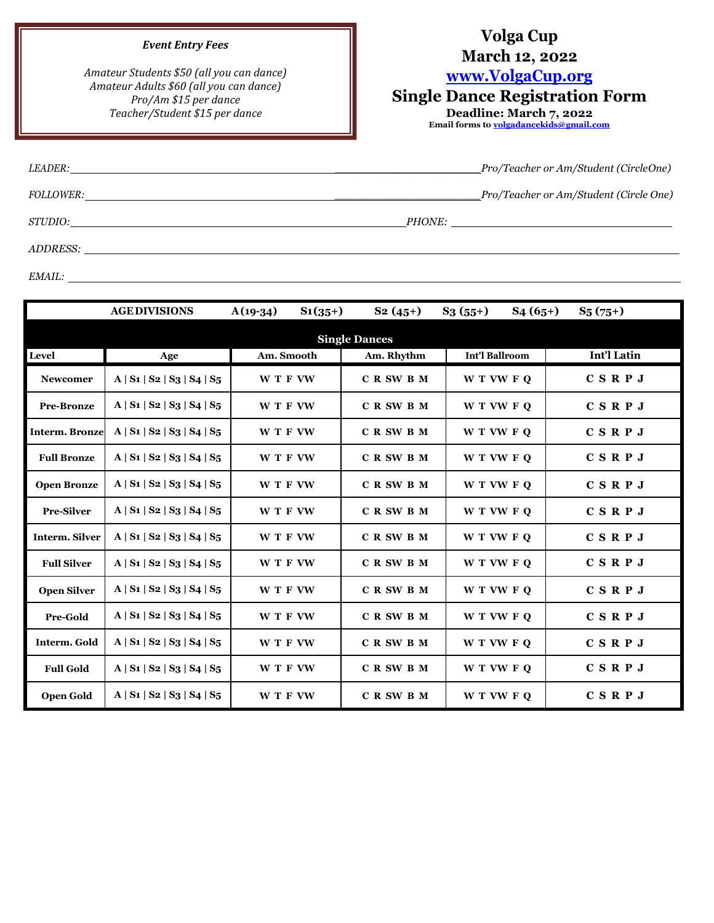## *Event Entry Fees*

*Amateur Students \$50 (all you can dance) Amateur Adults \$60 (all you can dance) Pro/Am \$15 per dance Teacher/Student \$15 per dance*

## **Volga Cup**

## **March 12, 2022**

**[www.VolgaC](http://www.volga/)up.org**

## **Single Dance Registration Form**

**Deadline: March 7, 2022 Email forms t[o volgadancekids@gmail.com](mailto:volgadancekids@gmail.com)**

| <i>LEADER:</i>   |               | Pro/Teacher or Am/Student (CircleOne)_                                                                                |
|------------------|---------------|-----------------------------------------------------------------------------------------------------------------------|
| <i>FOLLOWER:</i> |               | Pro/Teacher or Am/Student (Circle One)                                                                                |
| STUDIO:          | <i>PHONE:</i> | <u> 1989 - Jan Sterling von Berling von Berling von Berling von Berling von Berling von Berling von Berling von B</u> |
| ADDRESS:         |               |                                                                                                                       |

*EMAIL:*

|                       | <b>AGE DIVISIONS</b>              | $S_1(35+)$<br>$A(19-34)$ | $S_2(45+)$ | $S_3(55+)$<br>$S_4(65+)$ | $S_5(75+)$         |  |  |
|-----------------------|-----------------------------------|--------------------------|------------|--------------------------|--------------------|--|--|
| <b>Single Dances</b>  |                                   |                          |            |                          |                    |  |  |
| <b>Level</b>          | Age                               | Am. Smooth               | Am. Rhythm | <b>Int'l Ballroom</b>    | <b>Int'l Latin</b> |  |  |
| <b>Newcomer</b>       | $A   S_1   S_2   S_3   S_4   S_5$ | W T F VW                 | C R SW B M | W T VW F Q               | CSRPJ              |  |  |
| <b>Pre-Bronze</b>     | $A   S_1   S_2   S_3   S_4   S_5$ | W T F VW                 | C R SW B M | W T VW F Q               | CSRPJ              |  |  |
| <b>Interm. Bronze</b> | $A   S_1   S_2   S_3   S_4   S_5$ | W T F VW                 | C R SW B M | W T VW F Q               | CSRPJ              |  |  |
| <b>Full Bronze</b>    | $A   S_1   S_2   S_3   S_4   S_5$ | W T F VW                 | C R SW B M | W T VW F O               | CSRPJ              |  |  |
| <b>Open Bronze</b>    | $A   S_1   S_2   S_3   S_4   S_5$ | W T F VW                 | C R SW B M | W T VW F O               | CSRPJ              |  |  |
| <b>Pre-Silver</b>     | A   S1   S2   S3   S4   S5        | W T F VW                 | C R SW B M | W T VW F Q               | CSRPJ              |  |  |
| <b>Interm. Silver</b> | $A   S_1   S_2   S_3   S_4   S_5$ | W T F VW                 | C R SW B M | W T VW F Q               | CSRPJ              |  |  |
| <b>Full Silver</b>    | $A   S_1   S_2   S_3   S_4   S_5$ | W T F VW                 | C R SW B M | W T VW F Q               | CSRPJ              |  |  |
| <b>Open Silver</b>    | $A   S_1   S_2   S_3   S_4   S_5$ | W T F VW                 | C R SW B M | W T VW F Q               | CSRPJ              |  |  |
| Pre-Gold              | A   S1   S2   S3   S4   S5        | W T F VW                 | C R SW B M | W T VW F Q               | CSRPJ              |  |  |
| Interm. Gold          | $A   S_1   S_2   S_3   S_4   S_5$ | W T F VW                 | C R SW B M | W T VW F Q               | CSRPJ              |  |  |
| <b>Full Gold</b>      | $A   S_1   S_2   S_3   S_4   S_5$ | W T F VW                 | C R SW B M | W T VW F Q               | CSRPJ              |  |  |
| <b>Open Gold</b>      | $A   S_1   S_2   S_3   S_4   S_5$ | W T F VW                 | C R SW B M | W T VW F O               | CSRPJ              |  |  |